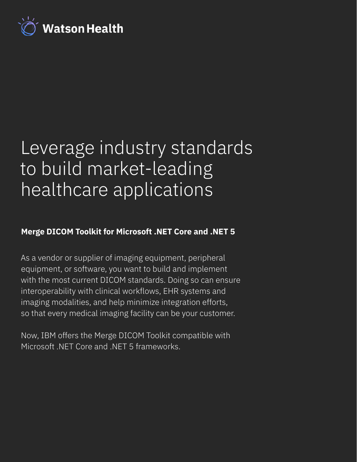

# Leverage industry standards to build market-leading healthcare applications

# **Merge DICOM Toolkit for Microsoft .NET Core and .NET 5**

As a vendor or supplier of imaging equipment, peripheral equipment, or software, you want to build and implement with the most current DICOM standards. Doing so can ensure interoperability with clinical workflows, EHR systems and imaging modalities, and help minimize integration efforts, so that every medical imaging facility can be your customer.

Now, IBM offers the Merge DICOM Toolkit compatible with Microsoft .NET Core and .NET 5 frameworks.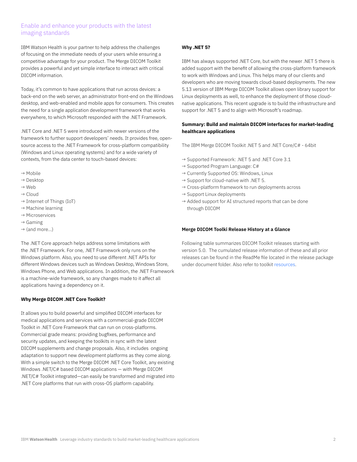## Enable and enhance your products with the latest imaging standards

IBM Watson Health is your partner to help address the challenges of focusing on the immediate needs of your users while ensuring a competitive advantage for your product. The Merge DICOM Toolkit provides a powerful and yet simple interface to interact with critical DICOM information.

Today, it's common to have applications that run across devices: a back-end on the web server, an administrator front-end on the Windows desktop, and web-enabled and mobile apps for consumers. This creates the need for a single application development framework that works everywhere, to which Microsoft responded with the .NET Framework.

.NET Core and .NET 5 were introduced with newer versions of the framework to further support developers' needs. It provides free, opensource access to the .NET Framework for cross-platform compatibility (Windows and Linux operating systems) and for a wide variety of contexts, from the data center to touch-based devices:

- → Mobile
- → Desktop
- → Web
- → Cloud
- $\rightarrow$  Internet of Things (IoT)
- $\rightarrow$  Machine learning
- → Microservices
- $\rightarrow$  Gaming
- $\rightarrow$  (and more...)

The .NET Core approach helps address some limitations with the .NET Framework. For one, .NET Framework only runs on the Windows platform. Also, you need to use different .NET APIs for different Windows devices such as Windows Desktop, Windows Store, Windows Phone, and Web applications. In addition, the .NET Framework is a machine-wide framework, so any changes made to it affect all applications having a dependency on it.

#### **Why Merge DICOM .NET Core Toolkit?**

It allows you to build powerful and simplified DICOM interfaces for medical applications and services with a commercial-grade DICOM Toolkit in .NET Core Framework that can run on cross-platforms. Commercial grade means: providing bugfixes, performance and security updates, and keeping the toolkits in sync with the latest DICOM supplements and change proposals. Also, it includes ongoing adaptation to support new development platforms as they come along. With a simple switch to the Merge DICOM .NET Core Toolkit, any existing Windows .NET/C# based DICOM applications — with Merge DICOM .NET/C# Toolkit integrated—can easily be transformed and migrated into .NET Core platforms that run with cross-OS platform capability.

#### **Why .NET 5?**

IBM has always supported .NET Core, but with the newer .NET 5 there is added support with the benefit of allowing the cross-platform framework to work with Windows and Linux. This helps many of our clients and developers who are moving towards cloud-based deployments. The new 5.13 version of IBM Merge DICOM Toolkit allows open library support for Linux deployments as well, to enhance the deployment of those cloudnative applications. This recent upgrade is to build the infrastructure and support for .NET 5 and to align with Microsoft's roadmap.

#### **Summary: Build and maintain DICOM interfaces for market-leading healthcare applications**

The IBM Merge DICOM Toolkit .NET 5 and .NET Core/C# - 64bit

- → Supported Framework: .NET 5 and .NET Core 3.1
- $\rightarrow$  Supported Program Language: C#
- → Currently Supported OS: Windows, Linux
- $\rightarrow$  Support for cloud-native with .NET 5.
- → Cross-platform framework to run deployments across
- $\rightarrow$  Support Linux deployments
- $\rightarrow$  Added support for AI structured reports that can be done through DICOM

#### **Merge DICOM Toolki Release History at a Glance**

Following table summarizes DICOM Toolkit releases starting with version 5.0. The cumulated release information of these and all prior releases can be found in the ReadMe file located in the release package under document folder. Also refer to toolkit [resources.](https://www.ibm.com/products/merge-dicom-toolkit/resources )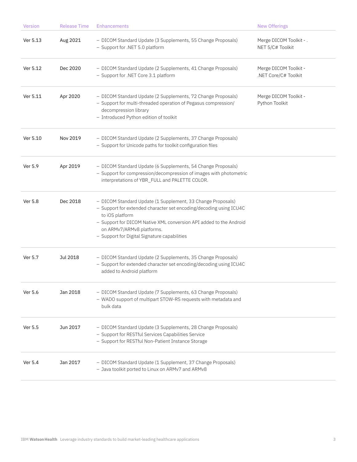| Version  | <b>Release Time</b> | <b>Enhancements</b>                                                                                                                                                                                                                                                                                     | <b>New Offerings</b>                          |
|----------|---------------------|---------------------------------------------------------------------------------------------------------------------------------------------------------------------------------------------------------------------------------------------------------------------------------------------------------|-----------------------------------------------|
| Ver 5.13 | Aug 2021            | - DICOM Standard Update (3 Supplements, 55 Change Proposals)<br>- Support for .NET 5.0 platform                                                                                                                                                                                                         | Merge DICOM Toolkit - .<br>NET 5/C# Toolkit   |
| Ver 5.12 | Dec 2020            | - DICOM Standard Update (2 Supplements, 41 Change Proposals)<br>- Support for .NET Core 3.1 platform                                                                                                                                                                                                    | Merge DICOM Toolkit -<br>.NET Core/C# Toolkit |
| Ver 5.11 | Apr 2020            | - DICOM Standard Update (2 Supplements, 72 Change Proposals)<br>- Support for multi-threaded operation of Pegasus compression/<br>decompression library<br>- Introduced Python edition of toolkit                                                                                                       | Merge DICOM Toolkit -<br>Python Toolkit       |
| Ver 5.10 | Nov 2019            | - DICOM Standard Update (2 Supplements, 37 Change Proposals)<br>- Support for Unicode paths for toolkit configuration files                                                                                                                                                                             |                                               |
| Ver 5.9  | Apr 2019            | - DICOM Standard Update (6 Supplements, 54 Change Proposals)<br>- Support for compression/decompression of images with photometric<br>interpretations of YBR_FULL and PALETTE COLOR.                                                                                                                    |                                               |
| Ver 5.8  | Dec 2018            | - DICOM Standard Update (1 Supplement, 33 Change Proposals)<br>- Support for extended character set encoding/decoding using ICU4C<br>to iOS platform<br>- Support for DICOM Native XML conversion API added to the Android<br>on ARMv7/ARMv8 platforms.<br>- Support for Digital Signature capabilities |                                               |
| Ver 5.7  | Jul 2018            | - DICOM Standard Update (2 Supplements, 35 Change Proposals)<br>- Support for extended character set encoding/decoding using ICU4C<br>added to Android platform                                                                                                                                         |                                               |
| Ver 5.6  | Jan 2018            | - DICOM Standard Update (7 Supplements, 63 Change Proposals)<br>- WADO support of multipart STOW-RS requests with metadata and<br>bulk data                                                                                                                                                             |                                               |
| Ver 5.5  | Jun 2017            | - DICOM Standard Update (3 Supplements, 28 Change Proposals)<br>- Support for RESTful Services Capabilities Service<br>- Support for RESTful Non-Patient Instance Storage                                                                                                                               |                                               |
| Ver 5.4  | Jan 2017            | - DICOM Standard Update (1 Supplement, 37 Change Proposals)<br>- Java toolkit ported to Linux on ARMv7 and ARMv8                                                                                                                                                                                        |                                               |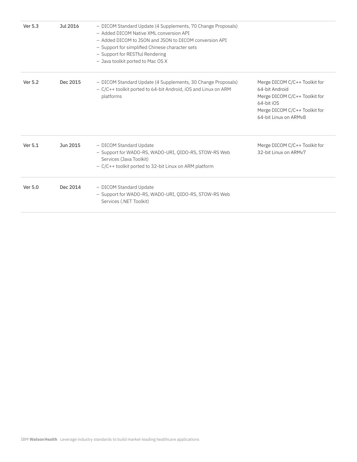| Ver 5.3 | Jul 2016 | - DICOM Standard Update (4 Supplements, 70 Change Proposals)<br>- Added DICOM Native XML conversion API<br>- Added DICOM to JSON and JSON to DICOM conversion API<br>- Support for simplified Chinese character sets<br>- Support for RESTful Rendering<br>- Java toolkit ported to Mac OS X |                                                                                                                                                          |
|---------|----------|----------------------------------------------------------------------------------------------------------------------------------------------------------------------------------------------------------------------------------------------------------------------------------------------|----------------------------------------------------------------------------------------------------------------------------------------------------------|
| Ver 5.2 | Dec 2015 | - DICOM Standard Update (4 Supplements, 30 Change Proposals)<br>- C/C++ toolkit ported to 64-bit Android, iOS and Linux on ARM<br>platforms                                                                                                                                                  | Merge DICOM C/C++ Toolkit for<br>64-bit Android<br>Merge DICOM C/C++ Toolkit for<br>64-bit iOS<br>Merge DICOM C/C++ Toolkit for<br>64-bit Linux on ARMv8 |
| Ver 5.1 | Jun 2015 | - DICOM Standard Update<br>- Support for WADO-RS, WADO-URI, QIDO-RS, STOW-RS Web<br>Services (Java Toolkit)<br>- C/C++ toolkit ported to 32-bit Linux on ARM platform                                                                                                                        | Merge DICOM C/C++ Toolkit for<br>32-bit Linux on ARMv7                                                                                                   |
| Ver 5.0 | Dec 2014 | - DICOM Standard Update<br>- Support for WADO-RS, WADO-URI, QIDO-RS, STOW-RS Web<br>Services (.NET Toolkit)                                                                                                                                                                                  |                                                                                                                                                          |